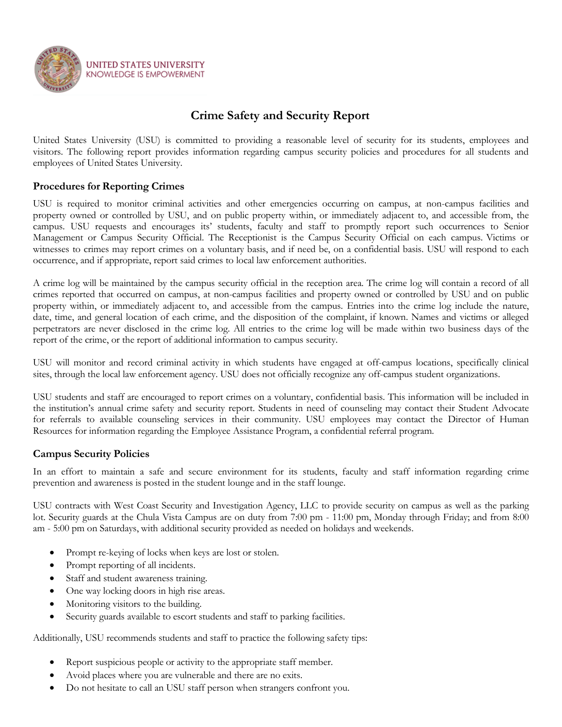

## **Crime Safety and Security Report**

United States University (USU) is committed to providing a reasonable level of security for its students, employees and visitors. The following report provides information regarding campus security policies and procedures for all students and employees of United States University.

## **Procedures for Reporting Crimes**

USU is required to monitor criminal activities and other emergencies occurring on campus, at non-campus facilities and property owned or controlled by USU, and on public property within, or immediately adjacent to, and accessible from, the campus. USU requests and encourages its' students, faculty and staff to promptly report such occurrences to Senior Management or Campus Security Official. The Receptionist is the Campus Security Official on each campus. Victims or witnesses to crimes may report crimes on a voluntary basis, and if need be, on a confidential basis. USU will respond to each occurrence, and if appropriate, report said crimes to local law enforcement authorities.

A crime log will be maintained by the campus security official in the reception area. The crime log will contain a record of all crimes reported that occurred on campus, at non-campus facilities and property owned or controlled by USU and on public property within, or immediately adjacent to, and accessible from the campus. Entries into the crime log include the nature, date, time, and general location of each crime, and the disposition of the complaint, if known. Names and victims or alleged perpetrators are never disclosed in the crime log. All entries to the crime log will be made within two business days of the report of the crime, or the report of additional information to campus security.

USU will monitor and record criminal activity in which students have engaged at off-campus locations, specifically clinical sites, through the local law enforcement agency. USU does not officially recognize any off-campus student organizations.

USU students and staff are encouraged to report crimes on a voluntary, confidential basis. This information will be included in the institution's annual crime safety and security report. Students in need of counseling may contact their Student Advocate for referrals to available counseling services in their community. USU employees may contact the Director of Human Resources for information regarding the Employee Assistance Program, a confidential referral program.

## **Campus Security Policies**

In an effort to maintain a safe and secure environment for its students, faculty and staff information regarding crime prevention and awareness is posted in the student lounge and in the staff lounge.

USU contracts with West Coast Security and Investigation Agency, LLC to provide security on campus as well as the parking lot. Security guards at the Chula Vista Campus are on duty from 7:00 pm - 11:00 pm, Monday through Friday; and from 8:00 am - 5:00 pm on Saturdays, with additional security provided as needed on holidays and weekends.

- Prompt re-keying of locks when keys are lost or stolen.
- Prompt reporting of all incidents.
- Staff and student awareness training.
- One way locking doors in high rise areas.
- Monitoring visitors to the building.
- Security guards available to escort students and staff to parking facilities.

Additionally, USU recommends students and staff to practice the following safety tips:

- Report suspicious people or activity to the appropriate staff member.
- Avoid places where you are vulnerable and there are no exits.
- Do not hesitate to call an USU staff person when strangers confront you.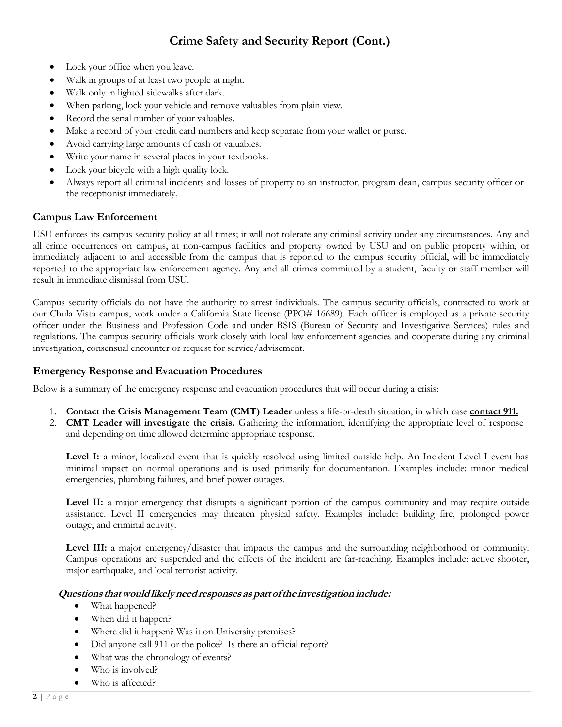- Lock your office when you leave.
- Walk in groups of at least two people at night.
- Walk only in lighted sidewalks after dark.
- When parking, lock your vehicle and remove valuables from plain view.
- Record the serial number of your valuables.
- Make a record of your credit card numbers and keep separate from your wallet or purse.
- Avoid carrying large amounts of cash or valuables.
- Write your name in several places in your textbooks.
- Lock your bicycle with a high quality lock.
- Always report all criminal incidents and losses of property to an instructor, program dean, campus security officer or the receptionist immediately.

## **Campus Law Enforcement**

USU enforces its campus security policy at all times; it will not tolerate any criminal activity under any circumstances. Any and all crime occurrences on campus, at non-campus facilities and property owned by USU and on public property within, or immediately adjacent to and accessible from the campus that is reported to the campus security official, will be immediately reported to the appropriate law enforcement agency. Any and all crimes committed by a student, faculty or staff member will result in immediate dismissal from USU.

Campus security officials do not have the authority to arrest individuals. The campus security officials, contracted to work at our Chula Vista campus, work under a California State license (PPO# 16689). Each officer is employed as a private security officer under the Business and Profession Code and under BSIS (Bureau of Security and Investigative Services) rules and regulations. The campus security officials work closely with local law enforcement agencies and cooperate during any criminal investigation, consensual encounter or request for service/advisement.

#### **Emergency Response and Evacuation Procedures**

Below is a summary of the emergency response and evacuation procedures that will occur during a crisis:

- 1. **Contact the Crisis Management Team (CMT) Leader** unless a life-or-death situation, in which case **contact 911.**
- 2. **CMT Leader will investigate the crisis.** Gathering the information, identifying the appropriate level of response and depending on time allowed determine appropriate response.

**Level I:** a minor, localized event that is quickly resolved using limited outside help. An Incident Level I event has minimal impact on normal operations and is used primarily for documentation. Examples include: minor medical emergencies, plumbing failures, and brief power outages.

**Level II:** a major emergency that disrupts a significant portion of the campus community and may require outside assistance. Level II emergencies may threaten physical safety. Examples include: building fire, prolonged power outage, and criminal activity.

**Level III:** a major emergency/disaster that impacts the campus and the surrounding neighborhood or community. Campus operations are suspended and the effects of the incident are far-reaching. Examples include: active shooter, major earthquake, and local terrorist activity.

#### **Questions thatwouldlikelyneedresponsesaspartofthe investigationinclude:**

- What happened?
- When did it happen?
- Where did it happen? Was it on University premises?
- Did anyone call 911 or the police? Is there an official report?
- What was the chronology of events?
- Who is involved?
- Who is affected?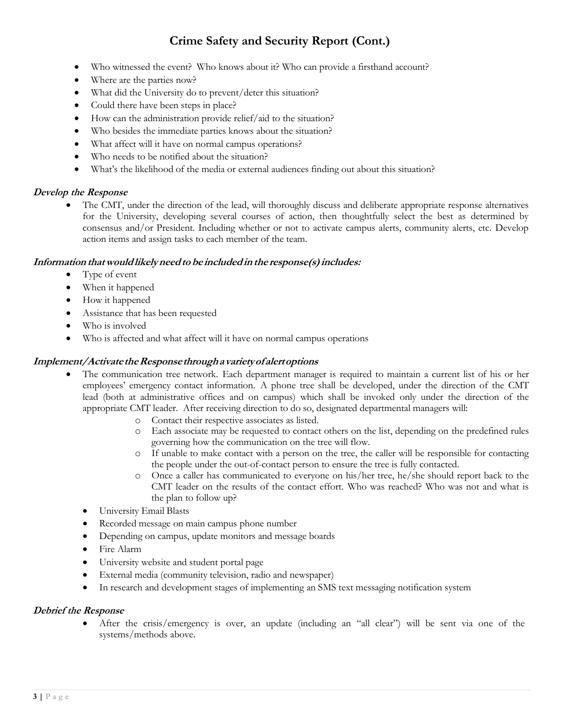- Who witnessed the event? Who knows about it? Who can provide a firsthand account?
- Where are the parties now?
- What did the University do to prevent/deter this situation?
- Could there have been steps in place?
- How can the administration provide relief/aid to the situation?
- Who besides the immediate parties knows about the situation?
- What affect will it have on normal campus operations?
- Who needs to be notified about the situation?
- What's the likelihood of the media or external audiences finding out about this situation?

### **Develop the Response**

 The CMT, under the direction of the lead, will thoroughly discuss and deliberate appropriate response alternatives for the University, developing several courses of action, then thoughtfully select the best as determined by consensus and/or President. Including whether or not to activate campus alerts, community alerts, etc. Develop action items and assign tasks to each member of the team.

#### **Information thatwouldlikelyneedtobe includedinthe response(s)includes:**

- Type of event
- When it happened
- How it happened
- Assistance that has been requested
- Who is involved
- Who is affected and what affect will it have on normal campus operations

#### **Implement/ActivatetheResponsethroughavarietyofalertoptions**

- The communication tree network. Each department manager is required to maintain a current list of his or her employees' emergency contact information. A phone tree shall be developed, under the direction of the CMT lead (both at administrative offices and on campus) which shall be invoked only under the direction of the appropriate CMT leader. After receiving direction to do so, designated departmental managers will:
	- o Contact their respective associates as listed.
	- o Each associate may be requested to contact others on the list, depending on the predefined rules governing how the communication on the tree will flow.
	- o If unable to make contact with a person on the tree, the caller will be responsible for contacting the people under the out-of-contact person to ensure the tree is fully contacted.
	- o Once a caller has communicated to everyone on his/her tree, he/she should report back to the CMT leader on the results of the contact effort. Who was reached? Who was not and what is the plan to follow up?
	- University Email Blasts
	- Recorded message on main campus phone number
	- Depending on campus, update monitors and message boards
	- Fire Alarm
	- University website and student portal page
	- External media (community television, radio and newspaper)
	- In research and development stages of implementing an SMS text messaging notification system

#### **Debrief the Response**

 After the crisis/emergency is over, an update (including an "all clear") will be sent via one of the systems/methods above.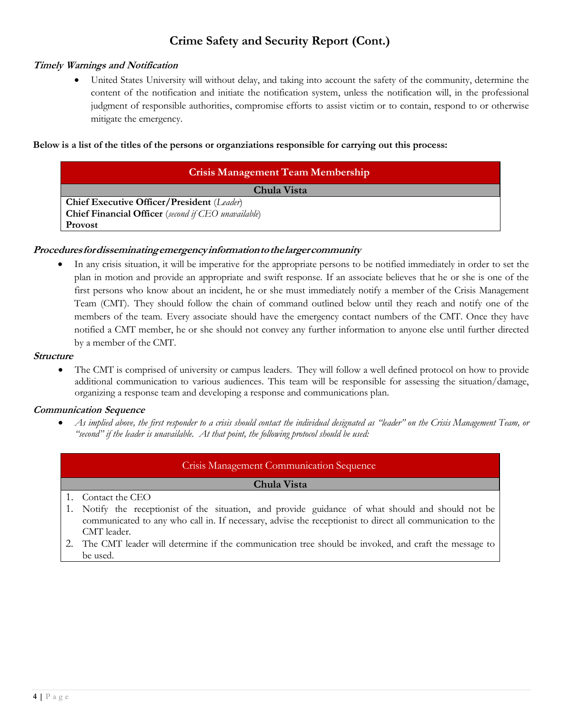### **Timely Warnings and Notification**

 United States University will without delay, and taking into account the safety of the community, determine the content of the notification and initiate the notification system, unless the notification will, in the professional judgment of responsible authorities, compromise efforts to assist victim or to contain, respond to or otherwise mitigate the emergency.

#### **Below is a list of the titles of the persons or organziations responsible for carrying out this process:**

| <b>Crisis Management Team Membership</b>                   |  |  |  |  |
|------------------------------------------------------------|--|--|--|--|
| Chula Vista                                                |  |  |  |  |
| Chief Executive Officer/President (Leader)                 |  |  |  |  |
| <b>Chief Financial Officer</b> (second if CEO unavailable) |  |  |  |  |
| <b>Provost</b>                                             |  |  |  |  |

#### **Proceduresfordisseminatingemergencyinformationtothelargercommunity**

 In any crisis situation, it will be imperative for the appropriate persons to be notified immediately in order to set the plan in motion and provide an appropriate and swift response. If an associate believes that he or she is one of the first persons who know about an incident, he or she must immediately notify a member of the Crisis Management Team (CMT). They should follow the chain of command outlined below until they reach and notify one of the members of the team. Every associate should have the emergency contact numbers of the CMT. Once they have notified a CMT member, he or she should not convey any further information to anyone else until further directed by a member of the CMT.

#### **Structure**

 The CMT is comprised of university or campus leaders. They will follow a well defined protocol on how to provide additional communication to various audiences. This team will be responsible for assessing the situation/damage, organizing a response team and developing a response and communications plan.

#### **Communication Sequence**

As implied above, the first responder to a crisis should contact the individual designated as "leader" on the Crisis Management Team, or *"second" if the leader is unavailable. At that point, the following protocol should be used:*

#### Crisis Management Communication Sequence

#### **Chula Vista**

- 1. Contact the CEO
- 1. Notify the receptionist of the situation, and provide guidance of what should and should not be communicated to any who call in. If necessary, advise the receptionist to direct all communication to the CMT leader.
- 2. The CMT leader will determine if the communication tree should be invoked, and craft the message to be used.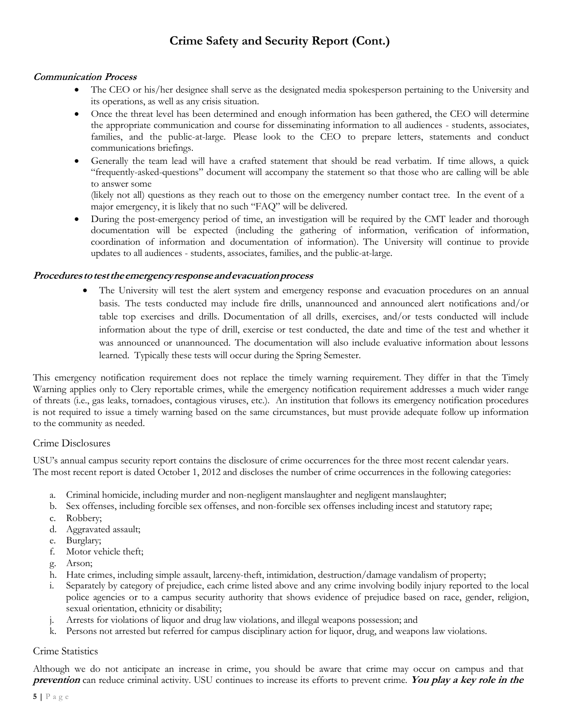### **Communication Process**

- The CEO or his/her designee shall serve as the designated media spokesperson pertaining to the University and its operations, as well as any crisis situation.
- Once the threat level has been determined and enough information has been gathered, the CEO will determine the appropriate communication and course for disseminating information to all audiences - students, associates, families, and the public-at-large. Please look to the CEO to prepare letters, statements and conduct communications briefings.
- Generally the team lead will have a crafted statement that should be read verbatim. If time allows, a quick "frequently-asked-questions" document will accompany the statement so that those who are calling will be able to answer some

(likely not all) questions as they reach out to those on the emergency number contact tree. In the event of a major emergency, it is likely that no such "FAQ" will be delivered.

 During the post-emergency period of time, an investigation will be required by the CMT leader and thorough documentation will be expected (including the gathering of information, verification of information, coordination of information and documentation of information). The University will continue to provide updates to all audiences - students, associates, families, and the public-at-large.

#### **Procedurestotesttheemergencyresponseandevacuationprocess**

 The University will test the alert system and emergency response and evacuation procedures on an annual basis. The tests conducted may include fire drills, unannounced and announced alert notifications and/or table top exercises and drills. Documentation of all drills, exercises, and/or tests conducted will include information about the type of drill, exercise or test conducted, the date and time of the test and whether it was announced or unannounced. The documentation will also include evaluative information about lessons learned. Typically these tests will occur during the Spring Semester.

This emergency notification requirement does not replace the timely warning requirement. They differ in that the Timely Warning applies only to Clery reportable crimes, while the emergency notification requirement addresses a much wider range of threats (i.e., gas leaks, tornadoes, contagious viruses, etc.). An institution that follows its emergency notification procedures is not required to issue a timely warning based on the same circumstances, but must provide adequate follow up information to the community as needed.

#### Crime Disclosures

USU's annual campus security report contains the disclosure of crime occurrences for the three most recent calendar years. The most recent report is dated October 1, 2012 and discloses the number of crime occurrences in the following categories:

- a. Criminal homicide, including murder and non-negligent manslaughter and negligent manslaughter;
- b. Sex offenses, including forcible sex offenses, and non-forcible sex offenses including incest and statutory rape;
- c. Robbery;
- d. Aggravated assault;
- e. Burglary;
- f. Motor vehicle theft;
- g. Arson;
- h. Hate crimes, including simple assault, larceny-theft, intimidation, destruction/damage vandalism of property;
- i. Separately by category of prejudice, each crime listed above and any crime involving bodily injury reported to the local police agencies or to a campus security authority that shows evidence of prejudice based on race, gender, religion, sexual orientation, ethnicity or disability;
- j. Arrests for violations of liquor and drug law violations, and illegal weapons possession; and
- k. Persons not arrested but referred for campus disciplinary action for liquor, drug, and weapons law violations.

#### Crime Statistics

Although we do not anticipate an increase in crime, you should be aware that crime may occur on campus and that **prevention** can reduce criminal activity. USU continues to increase its efforts to prevent crime. **You play <sup>a</sup> key role in the**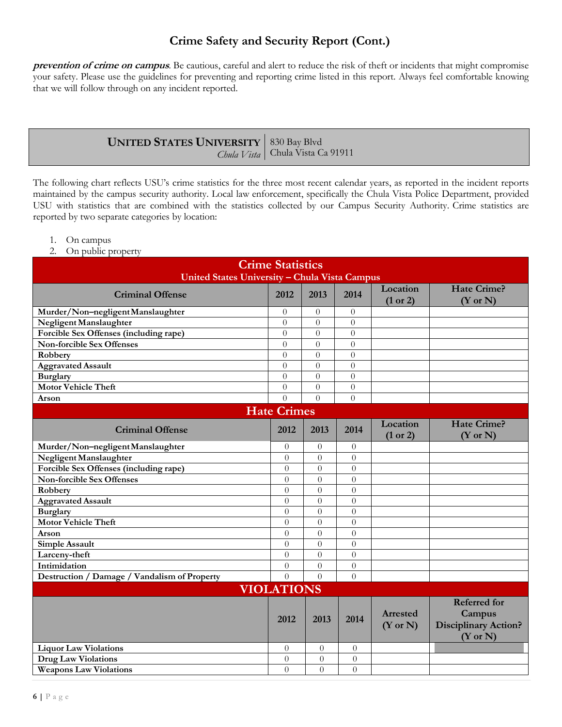**prevention of crime on campus**. Be cautious, careful and alert to reduce the risk of theft or incidents that might compromise your safety. Please use the guidelines for preventing and reporting crime listed in this report. Always feel comfortable knowing that we will follow through on any incident reported.

| <b>UNITED STATES UNIVERSITY</b> 830 Bay Blvd |                                    |
|----------------------------------------------|------------------------------------|
|                                              | Chula Vista   Chula Vista Ca 91911 |

The following chart reflects USU's crime statistics for the three most recent calendar years, as reported in the incident reports maintained by the campus security authority. Local law enforcement, specifically the Chula Vista Police Department, provided USU with statistics that are combined with the statistics collected by our Campus Security Authority. Crime statistics are reported by two separate categories by location:

- 1. On campus
- 2. On public property

| <b>Crime Statistics</b><br>United States University - Chula Vista Campus |                  |                |                  |                                 |                                                                                     |  |  |
|--------------------------------------------------------------------------|------------------|----------------|------------------|---------------------------------|-------------------------------------------------------------------------------------|--|--|
| <b>Criminal Offense</b>                                                  | 2012             | 2013           | 2014             | Location<br>(1 or 2)            | <b>Hate Crime?</b><br>$(Y \text{ or } N)$                                           |  |  |
| Murder/Non-negligentManslaughter                                         | $\Omega$         | $\overline{0}$ | $\theta$         |                                 |                                                                                     |  |  |
| Negligent Manslaughter                                                   | $\theta$         | $\Omega$       | $\theta$         |                                 |                                                                                     |  |  |
| Forcible Sex Offenses (including rape)                                   | $\theta$         | $\theta$       | $\theta$         |                                 |                                                                                     |  |  |
| <b>Non-forcible Sex Offenses</b>                                         | $\overline{0}$   | $\overline{0}$ | $\overline{0}$   |                                 |                                                                                     |  |  |
| Robbery                                                                  | $\Omega$         | $\Omega$       | $\boldsymbol{0}$ |                                 |                                                                                     |  |  |
| <b>Aggravated Assault</b>                                                | $\Omega$         | $\theta$       | $\theta$         |                                 |                                                                                     |  |  |
| <b>Burglary</b>                                                          | $\Omega$         | $\Omega$       | $\theta$         |                                 |                                                                                     |  |  |
| <b>Motor Vehicle Theft</b>                                               | $\Omega$         | $\Omega$       | $\theta$         |                                 |                                                                                     |  |  |
| Arson                                                                    | $\Omega$         | $\Omega$       | $\theta$         |                                 |                                                                                     |  |  |
| <b>Hate Crimes</b>                                                       |                  |                |                  |                                 |                                                                                     |  |  |
| <b>Criminal Offense</b>                                                  | 2012             | 2013           | 2014             | Location<br>(1 or 2)            | <b>Hate Crime?</b><br>$(Y \text{ or } N)$                                           |  |  |
| Murder/Non-negligentManslaughter                                         | $\theta$         | $\theta$       | $\theta$         |                                 |                                                                                     |  |  |
| Negligent Manslaughter                                                   | $\Omega$         | $\Omega$       | $\theta$         |                                 |                                                                                     |  |  |
| Forcible Sex Offenses (including rape)                                   | $\Omega$         | $\Omega$       | $\theta$         |                                 |                                                                                     |  |  |
| <b>Non-forcible Sex Offenses</b>                                         | $\theta$         | $\Omega$       | $\Omega$         |                                 |                                                                                     |  |  |
| Robbery                                                                  | $\theta$         | $\Omega$       | $\theta$         |                                 |                                                                                     |  |  |
| <b>Aggravated Assault</b>                                                | $\boldsymbol{0}$ | $\theta$       | $\theta$         |                                 |                                                                                     |  |  |
| <b>Burglary</b>                                                          | $\theta$         | $\theta$       | $\theta$         |                                 |                                                                                     |  |  |
| <b>Motor Vehicle Theft</b>                                               | $\theta$         | $\Omega$       | $\overline{0}$   |                                 |                                                                                     |  |  |
| Arson                                                                    | $\Omega$         | $\Omega$       | $\theta$         |                                 |                                                                                     |  |  |
| <b>Simple Assault</b>                                                    | $\Omega$         | $\theta$       | $\theta$         |                                 |                                                                                     |  |  |
| Larceny-theft                                                            | $\Omega$         | $\Omega$       | $\Omega$         |                                 |                                                                                     |  |  |
| Intimidation                                                             | $\theta$         | $\theta$       | $\overline{0}$   |                                 |                                                                                     |  |  |
| Destruction / Damage / Vandalism of Property                             | $\Omega$         | $\Omega$       | $\theta$         |                                 |                                                                                     |  |  |
| <b>VIOLATIONS</b>                                                        |                  |                |                  |                                 |                                                                                     |  |  |
|                                                                          | 2012             | 2013           | 2014             | Arrested<br>$(Y \text{ or } N)$ | <b>Referred</b> for<br>Campus<br><b>Disciplinary Action?</b><br>$(Y \text{ or } N)$ |  |  |
| <b>Liquor Law Violations</b>                                             | $\theta$         | $\Omega$       | $\theta$         |                                 |                                                                                     |  |  |
| <b>Drug Law Violations</b>                                               | $\theta$         | $\theta$       | $\theta$         |                                 |                                                                                     |  |  |
| <b>Weapons Law Violations</b>                                            | $\Omega$         | $\Omega$       | $\theta$         |                                 |                                                                                     |  |  |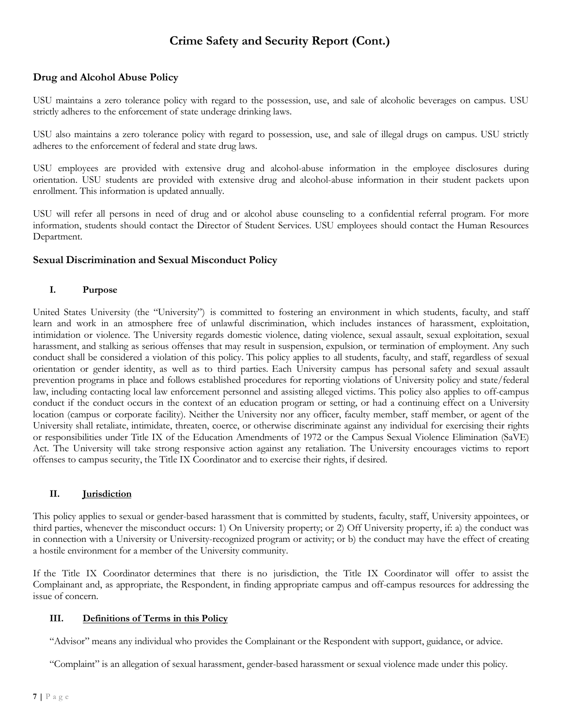## **Drug and Alcohol Abuse Policy**

USU maintains a zero tolerance policy with regard to the possession, use, and sale of alcoholic beverages on campus. USU strictly adheres to the enforcement of state underage drinking laws.

USU also maintains a zero tolerance policy with regard to possession, use, and sale of illegal drugs on campus. USU strictly adheres to the enforcement of federal and state drug laws.

USU employees are provided with extensive drug and alcohol-abuse information in the employee disclosures during orientation. USU students are provided with extensive drug and alcohol-abuse information in their student packets upon enrollment. This information is updated annually.

USU will refer all persons in need of drug and or alcohol abuse counseling to a confidential referral program. For more information, students should contact the Director of Student Services. USU employees should contact the Human Resources Department.

#### **Sexual Discrimination and Sexual Misconduct Policy**

#### **I. Purpose**

United States University (the "University") is committed to fostering an environment in which students, faculty, and staff learn and work in an atmosphere free of unlawful discrimination, which includes instances of harassment, exploitation, intimidation or violence. The University regards domestic violence, dating violence, sexual assault, sexual exploitation, sexual harassment, and stalking as serious offenses that may result in suspension, expulsion, or termination of employment. Any such conduct shall be considered a violation of this policy. This policy applies to all students, faculty, and staff, regardless of sexual orientation or gender identity, as well as to third parties. Each University campus has personal safety and sexual assault prevention programs in place and follows established procedures for reporting violations of University policy and state/federal law, including contacting local law enforcement personnel and assisting alleged victims. This policy also applies to off-campus conduct if the conduct occurs in the context of an education program or setting, or had a continuing effect on a University location (campus or corporate facility). Neither the University nor any officer, faculty member, staff member, or agent of the University shall retaliate, intimidate, threaten, coerce, or otherwise discriminate against any individual for exercising their rights or responsibilities under Title IX of the Education Amendments of 1972 or the Campus Sexual Violence Elimination (SaVE) Act. The University will take strong responsive action against any retaliation. The University encourages victims to report offenses to campus security, the Title IX Coordinator and to exercise their rights, if desired.

#### **II. Jurisdiction**

This policy applies to sexual or gender-based harassment that is committed by students, faculty, staff, University appointees, or third parties, whenever the misconduct occurs: 1) On University property; or 2) Off University property, if: a) the conduct was in connection with a University or University-recognized program or activity; or b) the conduct may have the effect of creating a hostile environment for a member of the University community.

If the Title IX Coordinator determines that there is no jurisdiction, the Title IX Coordinator will offer to assist the Complainant and, as appropriate, the Respondent, in finding appropriate campus and off-campus resources for addressing the issue of concern.

#### **III. Definitions of Terms in this Policy**

"Advisor" means any individual who provides the Complainant or the Respondent with support, guidance, or advice.

"Complaint" is an allegation of sexual harassment, gender-based harassment or sexual violence made under this policy.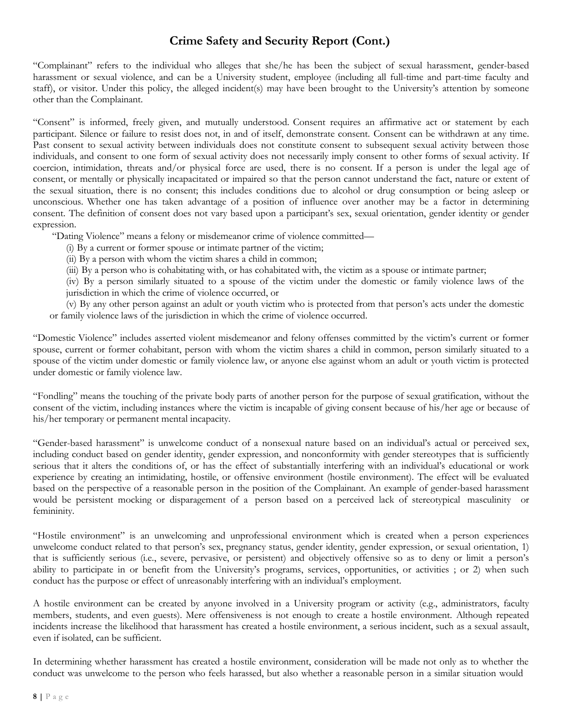"Complainant" refers to the individual who alleges that she/he has been the subject of sexual harassment, gender-based harassment or sexual violence, and can be a University student, employee (including all full-time and part-time faculty and staff), or visitor. Under this policy, the alleged incident(s) may have been brought to the University's attention by someone other than the Complainant.

"Consent" is informed, freely given, and mutually understood. Consent requires an affirmative act or statement by each participant. Silence or failure to resist does not, in and of itself, demonstrate consent. Consent can be withdrawn at any time. Past consent to sexual activity between individuals does not constitute consent to subsequent sexual activity between those individuals, and consent to one form of sexual activity does not necessarily imply consent to other forms of sexual activity. If coercion, intimidation, threats and/or physical force are used, there is no consent. If a person is under the legal age of consent, or mentally or physically incapacitated or impaired so that the person cannot understand the fact, nature or extent of the sexual situation, there is no consent; this includes conditions due to alcohol or drug consumption or being asleep or unconscious. Whether one has taken advantage of a position of influence over another may be a factor in determining consent. The definition of consent does not vary based upon a participant's sex, sexual orientation, gender identity or gender expression.

"Dating Violence" means a felony or misdemeanor crime of violence committed—

(i) By a current or former spouse or intimate partner of the victim;

(ii) By a person with whom the victim shares a child in common;

(iii) By a person who is cohabitating with, or has cohabitated with, the victim as a spouse or intimate partner;

(iv) By a person similarly situated to a spouse of the victim under the domestic or family violence laws of the jurisdiction in which the crime of violence occurred, or

(v) By any other person against an adult or youth victim who is protected from that person's acts under the domestic or family violence laws of the jurisdiction in which the crime of violence occurred.

"Domestic Violence" includes asserted violent misdemeanor and felony offenses committed by the victim's current or former spouse, current or former cohabitant, person with whom the victim shares a child in common, person similarly situated to a spouse of the victim under domestic or family violence law, or anyone else against whom an adult or youth victim is protected under domestic or family violence law.

"Fondling" means the touching of the private body parts of another person for the purpose of sexual gratification, without the consent of the victim, including instances where the victim is incapable of giving consent because of his/her age or because of his/her temporary or permanent mental incapacity.

"Gender-based harassment" is unwelcome conduct of a nonsexual nature based on an individual's actual or perceived sex, including conduct based on gender identity, gender expression, and nonconformity with gender stereotypes that is sufficiently serious that it alters the conditions of, or has the effect of substantially interfering with an individual's educational or work experience by creating an intimidating, hostile, or offensive environment (hostile environment). The effect will be evaluated based on the perspective of a reasonable person in the position of the Complainant. An example of gender-based harassment would be persistent mocking or disparagement of a person based on a perceived lack of stereotypical masculinity or femininity.

"Hostile environment" is an unwelcoming and unprofessional environment which is created when a person experiences unwelcome conduct related to that person's sex, pregnancy status, gender identity, gender expression, or sexual orientation, 1) that is sufficiently serious (i.e., severe, pervasive, or persistent) and objectively offensive so as to deny or limit a person's ability to participate in or benefit from the University's programs, services, opportunities, or activities ; or 2) when such conduct has the purpose or effect of unreasonably interfering with an individual's employment.

A hostile environment can be created by anyone involved in a University program or activity (e.g., administrators, faculty members, students, and even guests). Mere offensiveness is not enough to create a hostile environment. Although repeated incidents increase the likelihood that harassment has created a hostile environment, a serious incident, such as a sexual assault, even if isolated, can be sufficient.

In determining whether harassment has created a hostile environment, consideration will be made not only as to whether the conduct was unwelcome to the person who feels harassed, but also whether a reasonable person in a similar situation would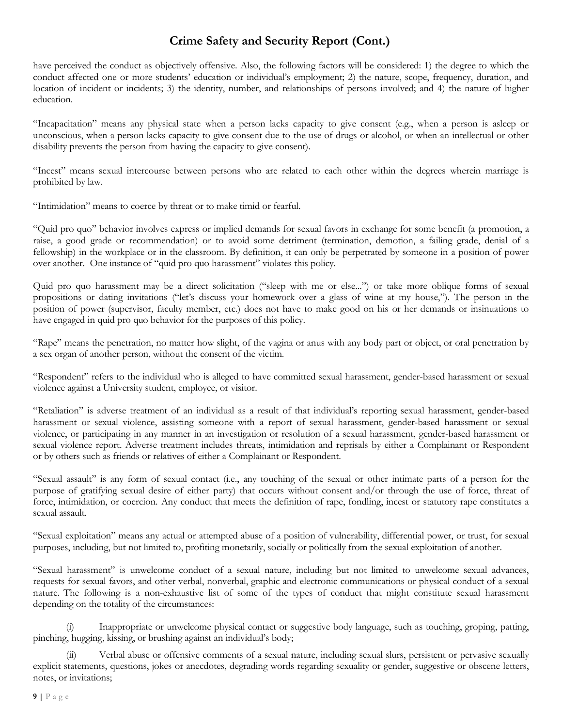have perceived the conduct as objectively offensive. Also, the following factors will be considered: 1) the degree to which the conduct affected one or more students' education or individual's employment; 2) the nature, scope, frequency, duration, and location of incident or incidents; 3) the identity, number, and relationships of persons involved; and 4) the nature of higher education.

"Incapacitation" means any physical state when a person lacks capacity to give consent (e.g., when a person is asleep or unconscious, when a person lacks capacity to give consent due to the use of drugs or alcohol, or when an intellectual or other disability prevents the person from having the capacity to give consent).

"Incest" means sexual intercourse between persons who are related to each other within the degrees wherein marriage is prohibited by law.

"Intimidation" means to coerce by threat or to make timid or fearful.

"Quid pro quo" behavior involves express or implied demands for sexual favors in exchange for some benefit (a promotion, a raise, a good grade or recommendation) or to avoid some detriment (termination, demotion, a failing grade, denial of a fellowship) in the workplace or in the classroom. By definition, it can only be perpetrated by someone in a position of power over another. One instance of "quid pro quo harassment" violates this policy.

Quid pro quo harassment may be a direct solicitation ("sleep with me or else...") or take more oblique forms of sexual propositions or dating invitations ("let's discuss your homework over a glass of wine at my house,"). The person in the position of power (supervisor, faculty member, etc.) does not have to make good on his or her demands or insinuations to have engaged in quid pro quo behavior for the purposes of this policy.

"Rape" means the penetration, no matter how slight, of the vagina or anus with any body part or object, or oral penetration by a sex organ of another person, without the consent of the victim.

"Respondent" refers to the individual who is alleged to have committed sexual harassment, gender-based harassment or sexual violence against a University student, employee, or visitor.

"Retaliation" is adverse treatment of an individual as a result of that individual's reporting sexual harassment, gender-based harassment or sexual violence, assisting someone with a report of sexual harassment, gender-based harassment or sexual violence, or participating in any manner in an investigation or resolution of a sexual harassment, gender-based harassment or sexual violence report. Adverse treatment includes threats, intimidation and reprisals by either a Complainant or Respondent or by others such as friends or relatives of either a Complainant or Respondent.

"Sexual assault" is any form of sexual contact (i.e., any touching of the sexual or other intimate parts of a person for the purpose of gratifying sexual desire of either party) that occurs without consent and/or through the use of force, threat of force, intimidation, or coercion. Any conduct that meets the definition of rape, fondling, incest or statutory rape constitutes a sexual assault.

"Sexual exploitation" means any actual or attempted abuse of a position of vulnerability, differential power, or trust, for sexual purposes, including, but not limited to, profiting monetarily, socially or politically from the sexual exploitation of another.

"Sexual harassment" is unwelcome conduct of a sexual nature, including but not limited to unwelcome sexual advances, requests for sexual favors, and other verbal, nonverbal, graphic and electronic communications or physical conduct of a sexual nature. The following is a non-exhaustive list of some of the types of conduct that might constitute sexual harassment depending on the totality of the circumstances:

Inappropriate or unwelcome physical contact or suggestive body language, such as touching, groping, patting, pinching, hugging, kissing, or brushing against an individual's body;

Verbal abuse or offensive comments of a sexual nature, including sexual slurs, persistent or pervasive sexually explicit statements, questions, jokes or anecdotes, degrading words regarding sexuality or gender, suggestive or obscene letters, notes, or invitations;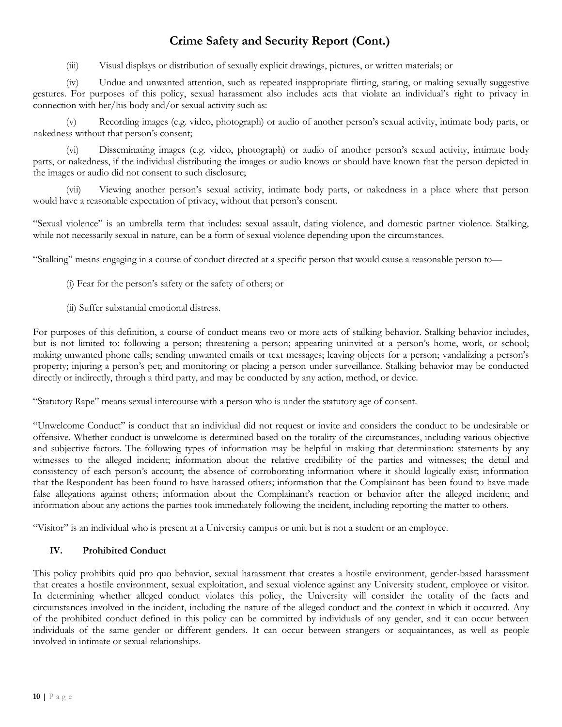(iii) Visual displays or distribution of sexually explicit drawings, pictures, or written materials; or

(iv) Undue and unwanted attention, such as repeated inappropriate flirting, staring, or making sexually suggestive gestures. For purposes of this policy, sexual harassment also includes acts that violate an individual's right to privacy in connection with her/his body and/or sexual activity such as:

(v) Recording images (e.g. video, photograph) or audio of another person's sexual activity, intimate body parts, or nakedness without that person's consent;

(vi) Disseminating images (e.g. video, photograph) or audio of another person's sexual activity, intimate body parts, or nakedness, if the individual distributing the images or audio knows or should have known that the person depicted in the images or audio did not consent to such disclosure;

(vii) Viewing another person's sexual activity, intimate body parts, or nakedness in a place where that person would have a reasonable expectation of privacy, without that person's consent.

"Sexual violence" is an umbrella term that includes: sexual assault, dating violence, and domestic partner violence. Stalking, while not necessarily sexual in nature, can be a form of sexual violence depending upon the circumstances.

"Stalking" means engaging in a course of conduct directed at a specific person that would cause a reasonable person to—

- (i) Fear for the person's safety or the safety of others; or
- (ii) Suffer substantial emotional distress.

For purposes of this definition, a course of conduct means two or more acts of stalking behavior. Stalking behavior includes, but is not limited to: following a person; threatening a person; appearing uninvited at a person's home, work, or school; making unwanted phone calls; sending unwanted emails or text messages; leaving objects for a person; vandalizing a person's property; injuring a person's pet; and monitoring or placing a person under surveillance. Stalking behavior may be conducted directly or indirectly, through a third party, and may be conducted by any action, method, or device.

"Statutory Rape" means sexual intercourse with a person who is under the statutory age of consent.

"Unwelcome Conduct" is conduct that an individual did not request or invite and considers the conduct to be undesirable or offensive. Whether conduct is unwelcome is determined based on the totality of the circumstances, including various objective and subjective factors. The following types of information may be helpful in making that determination: statements by any witnesses to the alleged incident; information about the relative credibility of the parties and witnesses; the detail and consistency of each person's account; the absence of corroborating information where it should logically exist; information that the Respondent has been found to have harassed others; information that the Complainant has been found to have made false allegations against others; information about the Complainant's reaction or behavior after the alleged incident; and information about any actions the parties took immediately following the incident, including reporting the matter to others.

"Visitor" is an individual who is present at a University campus or unit but is not a student or an employee.

#### **IV. Prohibited Conduct**

This policy prohibits quid pro quo behavior, sexual harassment that creates a hostile environment, gender-based harassment that creates a hostile environment, sexual exploitation, and sexual violence against any University student, employee or visitor. In determining whether alleged conduct violates this policy, the University will consider the totality of the facts and circumstances involved in the incident, including the nature of the alleged conduct and the context in which it occurred. Any of the prohibited conduct defined in this policy can be committed by individuals of any gender, and it can occur between individuals of the same gender or different genders. It can occur between strangers or acquaintances, as well as people involved in intimate or sexual relationships.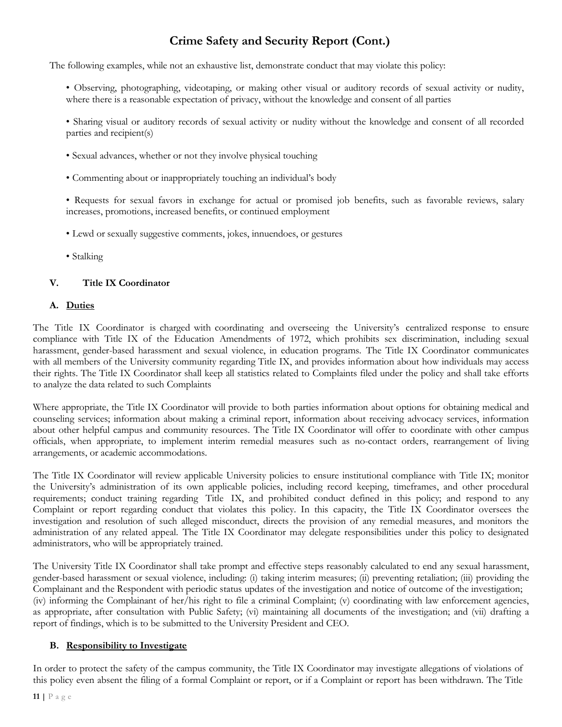The following examples, while not an exhaustive list, demonstrate conduct that may violate this policy:

• Observing, photographing, videotaping, or making other visual or auditory records of sexual activity or nudity, where there is a reasonable expectation of privacy, without the knowledge and consent of all parties

• Sharing visual or auditory records of sexual activity or nudity without the knowledge and consent of all recorded parties and recipient(s)

- Sexual advances, whether or not they involve physical touching
- Commenting about or inappropriately touching an individual's body

• Requests for sexual favors in exchange for actual or promised job benefits, such as favorable reviews, salary increases, promotions, increased benefits, or continued employment

- Lewd or sexually suggestive comments, jokes, innuendoes, or gestures
- Stalking

#### **V. Title IX Coordinator**

#### **A. Duties**

The Title IX Coordinator is charged with coordinating and overseeing the University's centralized response to ensure compliance with Title IX of the Education Amendments of 1972, which prohibits sex discrimination, including sexual harassment, gender-based harassment and sexual violence, in education programs. The Title IX Coordinator communicates with all members of the University community regarding Title IX, and provides information about how individuals may access their rights. The Title IX Coordinator shall keep all statistics related to Complaints filed under the policy and shall take efforts to analyze the data related to such Complaints

Where appropriate, the Title IX Coordinator will provide to both parties information about options for obtaining medical and counseling services; information about making a criminal report, information about receiving advocacy services, information about other helpful campus and community resources. The Title IX Coordinator will offer to coordinate with other campus officials, when appropriate, to implement interim remedial measures such as no-contact orders, rearrangement of living arrangements, or academic accommodations.

The Title IX Coordinator will review applicable University policies to ensure institutional compliance with Title IX; monitor the University's administration of its own applicable policies, including record keeping, timeframes, and other procedural requirements; conduct training regarding Title IX, and prohibited conduct defined in this policy; and respond to any Complaint or report regarding conduct that violates this policy. In this capacity, the Title IX Coordinator oversees the investigation and resolution of such alleged misconduct, directs the provision of any remedial measures, and monitors the administration of any related appeal. The Title IX Coordinator may delegate responsibilities under this policy to designated administrators, who will be appropriately trained.

The University Title IX Coordinator shall take prompt and effective steps reasonably calculated to end any sexual harassment, gender-based harassment or sexual violence, including: (i) taking interim measures; (ii) preventing retaliation; (iii) providing the Complainant and the Respondent with periodic status updates of the investigation and notice of outcome of the investigation; (iv) informing the Complainant of her/his right to file a criminal Complaint; (v) coordinating with law enforcement agencies, as appropriate, after consultation with Public Safety; (vi) maintaining all documents of the investigation; and (vii) drafting a report of findings, which is to be submitted to the University President and CEO.

### **B. Responsibility to Investigate**

In order to protect the safety of the campus community, the Title IX Coordinator may investigate allegations of violations of this policy even absent the filing of a formal Complaint or report, or if a Complaint or report has been withdrawn. The Title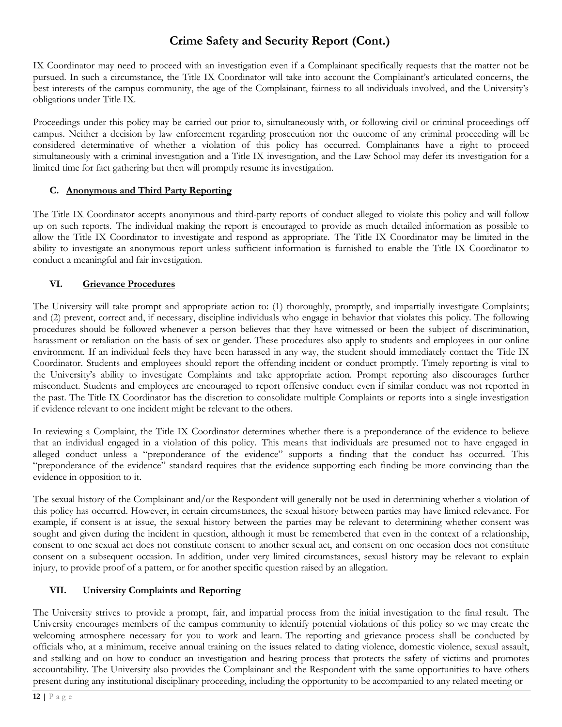IX Coordinator may need to proceed with an investigation even if a Complainant specifically requests that the matter not be pursued. In such a circumstance, the Title IX Coordinator will take into account the Complainant's articulated concerns, the best interests of the campus community, the age of the Complainant, fairness to all individuals involved, and the University's obligations under Title IX.

Proceedings under this policy may be carried out prior to, simultaneously with, or following civil or criminal proceedings off campus. Neither a decision by law enforcement regarding prosecution nor the outcome of any criminal proceeding will be considered determinative of whether a violation of this policy has occurred. Complainants have a right to proceed simultaneously with a criminal investigation and a Title IX investigation, and the Law School may defer its investigation for a limited time for fact gathering but then will promptly resume its investigation.

## **C. Anonymous and Third Party Reporting**

The Title IX Coordinator accepts anonymous and third-party reports of conduct alleged to violate this policy and will follow up on such reports. The individual making the report is encouraged to provide as much detailed information as possible to allow the Title IX Coordinator to investigate and respond as appropriate. The Title IX Coordinator may be limited in the ability to investigate an anonymous report unless sufficient information is furnished to enable the Title IX Coordinator to conduct a meaningful and fair investigation.

## **VI. Grievance Procedures**

The University will take prompt and appropriate action to: (1) thoroughly, promptly, and impartially investigate Complaints; and (2) prevent, correct and, if necessary, discipline individuals who engage in behavior that violates this policy. The following procedures should be followed whenever a person believes that they have witnessed or been the subject of discrimination, harassment or retaliation on the basis of sex or gender. These procedures also apply to students and employees in our online environment. If an individual feels they have been harassed in any way, the student should immediately contact the Title IX Coordinator. Students and employees should report the offending incident or conduct promptly. Timely reporting is vital to the University's ability to investigate Complaints and take appropriate action. Prompt reporting also discourages further misconduct. Students and employees are encouraged to report offensive conduct even if similar conduct was not reported in the past. The Title IX Coordinator has the discretion to consolidate multiple Complaints or reports into a single investigation if evidence relevant to one incident might be relevant to the others.

In reviewing a Complaint, the Title IX Coordinator determines whether there is a preponderance of the evidence to believe that an individual engaged in a violation of this policy. This means that individuals are presumed not to have engaged in alleged conduct unless a "preponderance of the evidence" supports a finding that the conduct has occurred. This "preponderance of the evidence" standard requires that the evidence supporting each finding be more convincing than the evidence in opposition to it.

The sexual history of the Complainant and/or the Respondent will generally not be used in determining whether a violation of this policy has occurred. However, in certain circumstances, the sexual history between parties may have limited relevance. For example, if consent is at issue, the sexual history between the parties may be relevant to determining whether consent was sought and given during the incident in question, although it must be remembered that even in the context of a relationship, consent to one sexual act does not constitute consent to another sexual act, and consent on one occasion does not constitute consent on a subsequent occasion. In addition, under very limited circumstances, sexual history may be relevant to explain injury, to provide proof of a pattern, or for another specific question raised by an allegation.

## **VII. University Complaints and Reporting**

The University strives to provide a prompt, fair, and impartial process from the initial investigation to the final result. The University encourages members of the campus community to identify potential violations of this policy so we may create the welcoming atmosphere necessary for you to work and learn. The reporting and grievance process shall be conducted by officials who, at a minimum, receive annual training on the issues related to dating violence, domestic violence, sexual assault, and stalking and on how to conduct an investigation and hearing process that protects the safety of victims and promotes accountability. The University also provides the Complainant and the Respondent with the same opportunities to have others present during any institutional disciplinary proceeding, including the opportunity to be accompanied to any related meeting or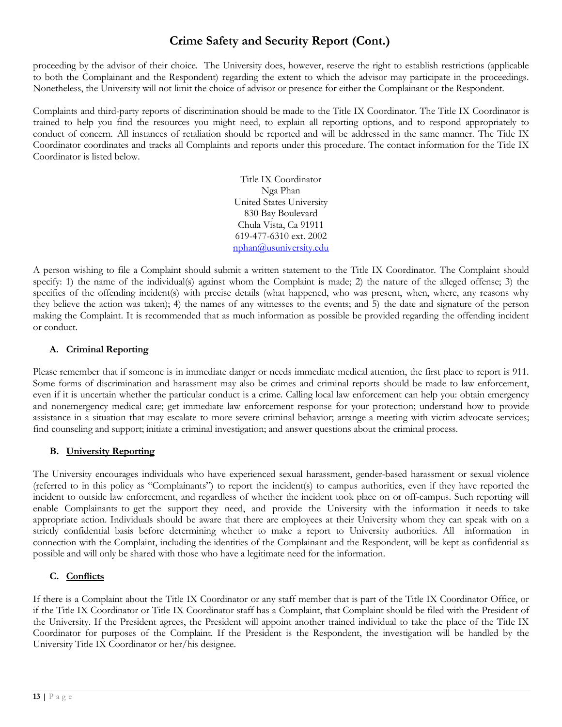proceeding by the advisor of their choice. The University does, however, reserve the right to establish restrictions (applicable to both the Complainant and the Respondent) regarding the extent to which the advisor may participate in the proceedings. Nonetheless, the University will not limit the choice of advisor or presence for either the Complainant or the Respondent.

Complaints and third-party reports of discrimination should be made to the Title IX Coordinator. The Title IX Coordinator is trained to help you find the resources you might need, to explain all reporting options, and to respond appropriately to conduct of concern. All instances of retaliation should be reported and will be addressed in the same manner. The Title IX Coordinator coordinates and tracks all Complaints and reports under this procedure. The contact information for the Title IX Coordinator is listed below.

> Title IX Coordinator Nga Phan United States University 830 Bay Boulevard Chula Vista, Ca 91911 619-477-6310 ext. 2002 [nphan@usuniversity.edu](mailto:nphan@usuniversity.edu)

A person wishing to file a Complaint should submit a written statement to the Title IX Coordinator. The Complaint should specify: 1) the name of the individual(s) against whom the Complaint is made; 2) the nature of the alleged offense; 3) the specifics of the offending incident(s) with precise details (what happened, who was present, when, where, any reasons why they believe the action was taken); 4) the names of any witnesses to the events; and 5) the date and signature of the person making the Complaint. It is recommended that as much information as possible be provided regarding the offending incident or conduct.

## **A. Criminal Reporting**

Please remember that if someone is in immediate danger or needs immediate medical attention, the first place to report is 911. Some forms of discrimination and harassment may also be crimes and criminal reports should be made to law enforcement, even if it is uncertain whether the particular conduct is a crime. Calling local law enforcement can help you: obtain emergency and nonemergency medical care; get immediate law enforcement response for your protection; understand how to provide assistance in a situation that may escalate to more severe criminal behavior; arrange a meeting with victim advocate services; find counseling and support; initiate a criminal investigation; and answer questions about the criminal process.

## **B. University Reporting**

The University encourages individuals who have experienced sexual harassment, gender-based harassment or sexual violence (referred to in this policy as "Complainants") to report the incident(s) to campus authorities, even if they have reported the incident to outside law enforcement, and regardless of whether the incident took place on or off-campus. Such reporting will enable Complainants to get the support they need, and provide the University with the information it needs to take appropriate action. Individuals should be aware that there are employees at their University whom they can speak with on a strictly confidential basis before determining whether to make a report to University authorities. All information in connection with the Complaint, including the identities of the Complainant and the Respondent, will be kept as confidential as possible and will only be shared with those who have a legitimate need for the information.

## **C. Conflicts**

If there is a Complaint about the Title IX Coordinator or any staff member that is part of the Title IX Coordinator Office, or if the Title IX Coordinator or Title IX Coordinator staff has a Complaint, that Complaint should be filed with the President of the University. If the President agrees, the President will appoint another trained individual to take the place of the Title IX Coordinator for purposes of the Complaint. If the President is the Respondent, the investigation will be handled by the University Title IX Coordinator or her/his designee.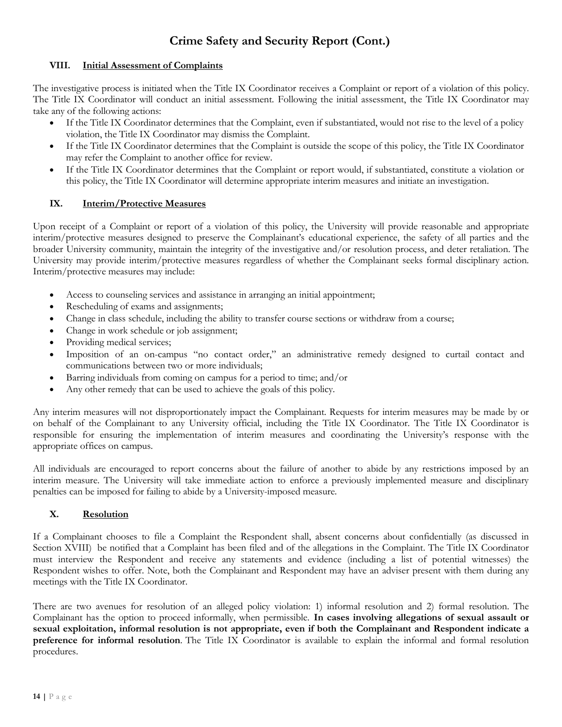#### **VIII. Initial Assessment of Complaints**

The investigative process is initiated when the Title IX Coordinator receives a Complaint or report of a violation of this policy. The Title IX Coordinator will conduct an initial assessment. Following the initial assessment, the Title IX Coordinator may take any of the following actions:

- If the Title IX Coordinator determines that the Complaint, even if substantiated, would not rise to the level of a policy violation, the Title IX Coordinator may dismiss the Complaint.
- If the Title IX Coordinator determines that the Complaint is outside the scope of this policy, the Title IX Coordinator may refer the Complaint to another office for review.
- If the Title IX Coordinator determines that the Complaint or report would, if substantiated, constitute a violation or this policy, the Title IX Coordinator will determine appropriate interim measures and initiate an investigation.

### **IX. Interim/Protective Measures**

Upon receipt of a Complaint or report of a violation of this policy, the University will provide reasonable and appropriate interim/protective measures designed to preserve the Complainant's educational experience, the safety of all parties and the broader University community, maintain the integrity of the investigative and/or resolution process, and deter retaliation. The University may provide interim/protective measures regardless of whether the Complainant seeks formal disciplinary action. Interim/protective measures may include:

- Access to counseling services and assistance in arranging an initial appointment;
- Rescheduling of exams and assignments;
- Change in class schedule, including the ability to transfer course sections or withdraw from a course;
- Change in work schedule or job assignment;
- Providing medical services;
- Imposition of an on-campus "no contact order," an administrative remedy designed to curtail contact and communications between two or more individuals;
- Barring individuals from coming on campus for a period to time; and/or
- Any other remedy that can be used to achieve the goals of this policy.

Any interim measures will not disproportionately impact the Complainant. Requests for interim measures may be made by or on behalf of the Complainant to any University official, including the Title IX Coordinator. The Title IX Coordinator is responsible for ensuring the implementation of interim measures and coordinating the University's response with the appropriate offices on campus.

All individuals are encouraged to report concerns about the failure of another to abide by any restrictions imposed by an interim measure. The University will take immediate action to enforce a previously implemented measure and disciplinary penalties can be imposed for failing to abide by a University-imposed measure.

## **X. Resolution**

If a Complainant chooses to file a Complaint the Respondent shall, absent concerns about confidentially (as discussed in Section XVIII) be notified that a Complaint has been filed and of the allegations in the Complaint. The Title IX Coordinator must interview the Respondent and receive any statements and evidence (including a list of potential witnesses) the Respondent wishes to offer. Note, both the Complainant and Respondent may have an adviser present with them during any meetings with the Title IX Coordinator.

There are two avenues for resolution of an alleged policy violation: 1) informal resolution and 2) formal resolution. The Complainant has the option to proceed informally, when permissible. **In cases involving allegations of sexual assault or** sexual exploitation, informal resolution is not appropriate, even if both the Complainant and Respondent indicate a **preference for informal resolution**. The Title IX Coordinator is available to explain the informal and formal resolution procedures.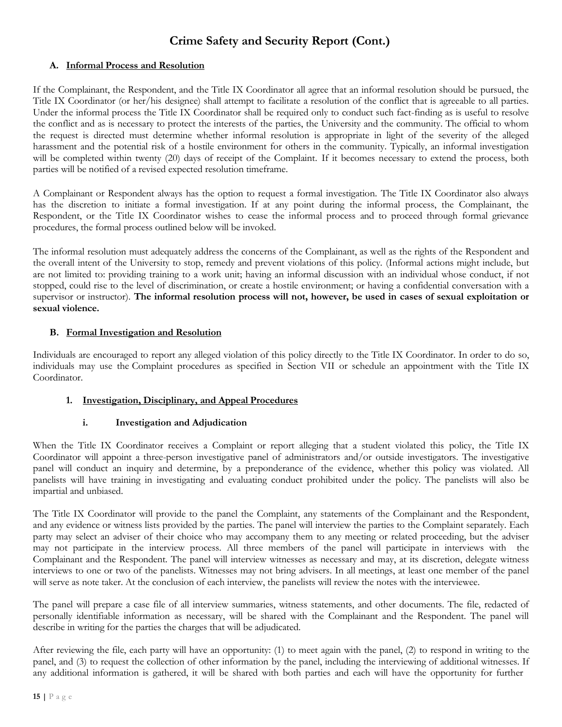### **A. Informal Process and Resolution**

If the Complainant, the Respondent, and the Title IX Coordinator all agree that an informal resolution should be pursued, the Title IX Coordinator (or her/his designee) shall attempt to facilitate a resolution of the conflict that is agreeable to all parties. Under the informal process the Title IX Coordinator shall be required only to conduct such fact-finding as is useful to resolve the conflict and as is necessary to protect the interests of the parties, the University and the community. The official to whom the request is directed must determine whether informal resolution is appropriate in light of the severity of the alleged harassment and the potential risk of a hostile environment for others in the community. Typically, an informal investigation will be completed within twenty (20) days of receipt of the Complaint. If it becomes necessary to extend the process, both parties will be notified of a revised expected resolution timeframe.

A Complainant or Respondent always has the option to request a formal investigation. The Title IX Coordinator also always has the discretion to initiate a formal investigation. If at any point during the informal process, the Complainant, the Respondent, or the Title IX Coordinator wishes to cease the informal process and to proceed through formal grievance procedures, the formal process outlined below will be invoked.

The informal resolution must adequately address the concerns of the Complainant, as well as the rights of the Respondent and the overall intent of the University to stop, remedy and prevent violations of this policy. (Informal actions might include, but are not limited to: providing training to a work unit; having an informal discussion with an individual whose conduct, if not stopped, could rise to the level of discrimination, or create a hostile environment; or having a confidential conversation with a supervisor or instructor). The informal resolution process will not, however, be used in cases of sexual exploitation or **sexual violence.**

### **B. Formal Investigation and Resolution**

Individuals are encouraged to report any alleged violation of this policy directly to the Title IX Coordinator. In order to do so, individuals may use the Complaint procedures as specified in Section VII or schedule an appointment with the Title IX Coordinator.

#### **1. Investigation, Disciplinary, and Appeal Procedures**

#### **i. Investigation and Adjudication**

When the Title IX Coordinator receives a Complaint or report alleging that a student violated this policy, the Title IX Coordinator will appoint a three-person investigative panel of administrators and/or outside investigators. The investigative panel will conduct an inquiry and determine, by a preponderance of the evidence, whether this policy was violated. All panelists will have training in investigating and evaluating conduct prohibited under the policy. The panelists will also be impartial and unbiased.

The Title IX Coordinator will provide to the panel the Complaint, any statements of the Complainant and the Respondent, and any evidence or witness lists provided by the parties. The panel will interview the parties to the Complaint separately. Each party may select an adviser of their choice who may accompany them to any meeting or related proceeding, but the adviser may not participate in the interview process. All three members of the panel will participate in interviews with the Complainant and the Respondent. The panel will interview witnesses as necessary and may, at its discretion, delegate witness interviews to one or two of the panelists. Witnesses may not bring advisers. In all meetings, at least one member of the panel will serve as note taker. At the conclusion of each interview, the panelists will review the notes with the interviewee.

The panel will prepare a case file of all interview summaries, witness statements, and other documents. The file, redacted of personally identifiable information as necessary, will be shared with the Complainant and the Respondent. The panel will describe in writing for the parties the charges that will be adjudicated.

After reviewing the file, each party will have an opportunity: (1) to meet again with the panel, (2) to respond in writing to the panel, and (3) to request the collection of other information by the panel, including the interviewing of additional witnesses. If any additional information is gathered, it will be shared with both parties and each will have the opportunity for further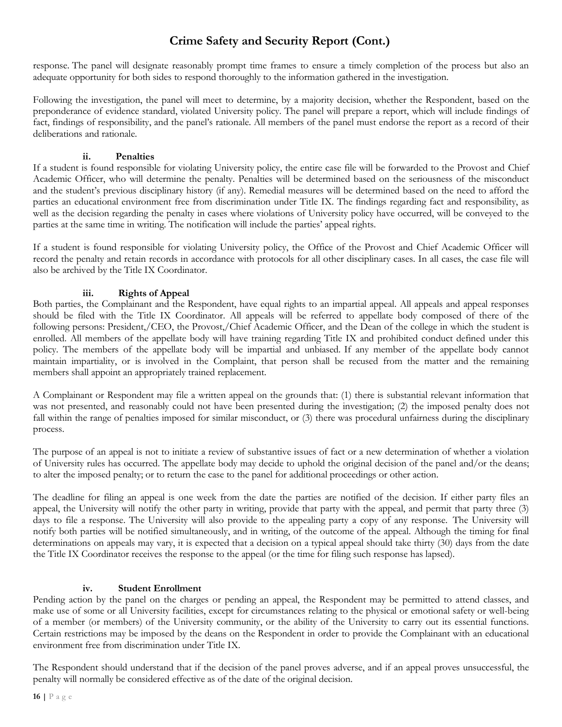response. The panel will designate reasonably prompt time frames to ensure a timely completion of the process but also an adequate opportunity for both sides to respond thoroughly to the information gathered in the investigation.

Following the investigation, the panel will meet to determine, by a majority decision, whether the Respondent, based on the preponderance of evidence standard, violated University policy. The panel will prepare a report, which will include findings of fact, findings of responsibility, and the panel's rationale. All members of the panel must endorse the report as a record of their deliberations and rationale.

#### **ii. Penalties**

If a student is found responsible for violating University policy, the entire case file will be forwarded to the Provost and Chief Academic Officer, who will determine the penalty. Penalties will be determined based on the seriousness of the misconduct and the student's previous disciplinary history (if any). Remedial measures will be determined based on the need to afford the parties an educational environment free from discrimination under Title IX. The findings regarding fact and responsibility, as well as the decision regarding the penalty in cases where violations of University policy have occurred, will be conveyed to the parties at the same time in writing. The notification will include the parties' appeal rights.

If a student is found responsible for violating University policy, the Office of the Provost and Chief Academic Officer will record the penalty and retain records in accordance with protocols for all other disciplinary cases. In all cases, the case file will also be archived by the Title IX Coordinator.

## **iii. Rights of Appeal**

Both parties, the Complainant and the Respondent, have equal rights to an impartial appeal. All appeals and appeal responses should be filed with the Title IX Coordinator. All appeals will be referred to appellate body composed of there of the following persons: President,/CEO, the Provost,/Chief Academic Officer, and the Dean of the college in which the student is enrolled. All members of the appellate body will have training regarding Title IX and prohibited conduct defined under this policy. The members of the appellate body will be impartial and unbiased. If any member of the appellate body cannot maintain impartiality, or is involved in the Complaint, that person shall be recused from the matter and the remaining members shall appoint an appropriately trained replacement.

A Complainant or Respondent may file a written appeal on the grounds that: (1) there is substantial relevant information that was not presented, and reasonably could not have been presented during the investigation; (2) the imposed penalty does not fall within the range of penalties imposed for similar misconduct, or (3) there was procedural unfairness during the disciplinary process.

The purpose of an appeal is not to initiate a review of substantive issues of fact or a new determination of whether a violation of University rules has occurred. The appellate body may decide to uphold the original decision of the panel and/or the deans; to alter the imposed penalty; or to return the case to the panel for additional proceedings or other action.

The deadline for filing an appeal is one week from the date the parties are notified of the decision. If either party files an appeal, the University will notify the other party in writing, provide that party with the appeal, and permit that party three (3) days to file a response. The University will also provide to the appealing party a copy of any response. The University will notify both parties will be notified simultaneously, and in writing, of the outcome of the appeal. Although the timing for final determinations on appeals may vary, it is expected that a decision on a typical appeal should take thirty (30) days from the date the Title IX Coordinator receives the response to the appeal (or the time for filing such response has lapsed).

## **iv. Student Enrollment**

Pending action by the panel on the charges or pending an appeal, the Respondent may be permitted to attend classes, and make use of some or all University facilities, except for circumstances relating to the physical or emotional safety or well-being of a member (or members) of the University community, or the ability of the University to carry out its essential functions. Certain restrictions may be imposed by the deans on the Respondent in order to provide the Complainant with an educational environment free from discrimination under Title IX.

The Respondent should understand that if the decision of the panel proves adverse, and if an appeal proves unsuccessful, the penalty will normally be considered effective as of the date of the original decision.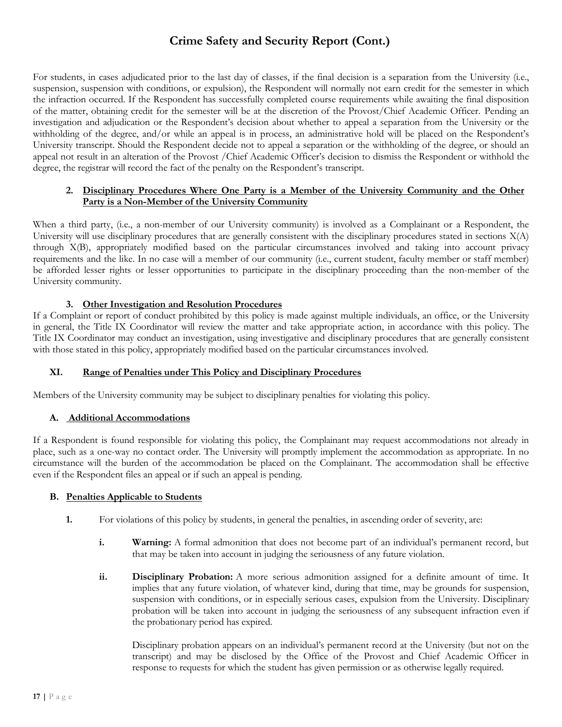For students, in cases adjudicated prior to the last day of classes, if the final decision is a separation from the University (i.e., suspension, suspension with conditions, or expulsion), the Respondent will normally not earn credit for the semester in which the infraction occurred. If the Respondent has successfully completed course requirements while awaiting the final disposition of the matter, obtaining credit for the semester will be at the discretion of the Provost/Chief Academic Officer. Pending an investigation and adjudication or the Respondent's decision about whether to appeal a separation from the University or the withholding of the degree, and/or while an appeal is in process, an administrative hold will be placed on the Respondent's University transcript. Should the Respondent decide not to appeal a separation or the withholding of the degree, or should an appeal not result in an alteration of the Provost /Chief Academic Officer's decision to dismiss the Respondent or withhold the degree, the registrar will record the fact of the penalty on the Respondent's transcript.

### **2. Disciplinary Procedures Where One Party is a Member of the University Community and the Other Party is a Non-Member of the University Community**

When a third party, (i.e., a non-member of our University community) is involved as a Complainant or a Respondent, the University will use disciplinary procedures that are generally consistent with the disciplinary procedures stated in sections  $X(A)$ through X(B), appropriately modified based on the particular circumstances involved and taking into account privacy requirements and the like. In no case will a member of our community (i.e., current student, faculty member or staff member) be afforded lesser rights or lesser opportunities to participate in the disciplinary proceeding than the non-member of the University community.

### **3. Other Investigation and Resolution Procedures**

If a Complaint or report of conduct prohibited by this policy is made against multiple individuals, an office, or the University in general, the Title IX Coordinator will review the matter and take appropriate action, in accordance with this policy. The Title IX Coordinator may conduct an investigation, using investigative and disciplinary procedures that are generally consistent with those stated in this policy, appropriately modified based on the particular circumstances involved.

#### **XI. Range of Penalties under This Policy and Disciplinary Procedures**

Members of the University community may be subject to disciplinary penalties for violating this policy.

#### **A. Additional Accommodations**

If a Respondent is found responsible for violating this policy, the Complainant may request accommodations not already in place, such as a one-way no contact order. The University will promptly implement the accommodation as appropriate. In no circumstance will the burden of the accommodation be placed on the Complainant. The accommodation shall be effective even if the Respondent files an appeal or if such an appeal is pending.

#### **B. Penalties Applicable to Students**

- **1.** For violations of this policy by students, in general the penalties, in ascending order of severity, are:
	- **i. Warning:** A formal admonition that does not become part of an individual's permanent record, but that may be taken into account in judging the seriousness of any future violation.
	- **ii. Disciplinary Probation:** A more serious admonition assigned for a definite amount of time. It implies that any future violation, of whatever kind, during that time, may be grounds for suspension, suspension with conditions, or in especially serious cases, expulsion from the University. Disciplinary probation will be taken into account in judging the seriousness of any subsequent infraction even if the probationary period has expired.

Disciplinary probation appears on an individual's permanent record at the University (but not on the transcript) and may be disclosed by the Office of the Provost and Chief Academic Officer in response to requests for which the student has given permission or as otherwise legally required.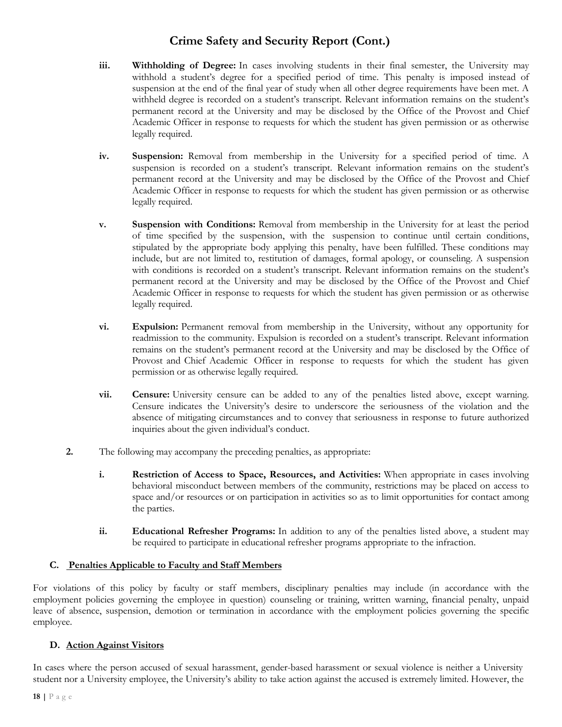- **iii. Withholding of Degree:** In cases involving students in their final semester, the University may withhold a student's degree for a specified period of time. This penalty is imposed instead of suspension at the end of the final year of study when all other degree requirements have been met. A withheld degree is recorded on a student's transcript. Relevant information remains on the student's permanent record at the University and may be disclosed by the Office of the Provost and Chief Academic Officer in response to requests for which the student has given permission or as otherwise legally required.
- **iv. Suspension:** Removal from membership in the University for a specified period of time. A suspension is recorded on a student's transcript. Relevant information remains on the student's permanent record at the University and may be disclosed by the Office of the Provost and Chief Academic Officer in response to requests for which the student has given permission or as otherwise legally required.
- **v. Suspension with Conditions:** Removal from membership in the University for at least the period of time specified by the suspension, with the suspension to continue until certain conditions, stipulated by the appropriate body applying this penalty, have been fulfilled. These conditions may include, but are not limited to, restitution of damages, formal apology, or counseling. A suspension with conditions is recorded on a student's transcript. Relevant information remains on the student's permanent record at the University and may be disclosed by the Office of the Provost and Chief Academic Officer in response to requests for which the student has given permission or as otherwise legally required.
- **vi. Expulsion:** Permanent removal from membership in the University, without any opportunity for readmission to the community. Expulsion is recorded on a student's transcript. Relevant information remains on the student's permanent record at the University and may be disclosed by the Office of Provost and Chief Academic Officer in response to requests for which the student has given permission or as otherwise legally required.
- **vii. Censure:** University censure can be added to any of the penalties listed above, except warning. Censure indicates the University's desire to underscore the seriousness of the violation and the absence of mitigating circumstances and to convey that seriousness in response to future authorized inquiries about the given individual's conduct.
- **2.** The following may accompany the preceding penalties, as appropriate:
	- **i. Restriction of Access to Space, Resources, and Activities:** When appropriate in cases involving behavioral misconduct between members of the community, restrictions may be placed on access to space and/or resources or on participation in activities so as to limit opportunities for contact among the parties.
	- **ii. Educational Refresher Programs:** In addition to any of the penalties listed above, a student may be required to participate in educational refresher programs appropriate to the infraction.

## **C. Penalties Applicable to Faculty and Staff Members**

For violations of this policy by faculty or staff members, disciplinary penalties may include (in accordance with the employment policies governing the employee in question) counseling or training, written warning, financial penalty, unpaid leave of absence, suspension, demotion or termination in accordance with the employment policies governing the specific employee.

#### **D. Action Against Visitors**

In cases where the person accused of sexual harassment, gender-based harassment or sexual violence is neither a University student nor a University employee, the University's ability to take action against the accused is extremely limited. However, the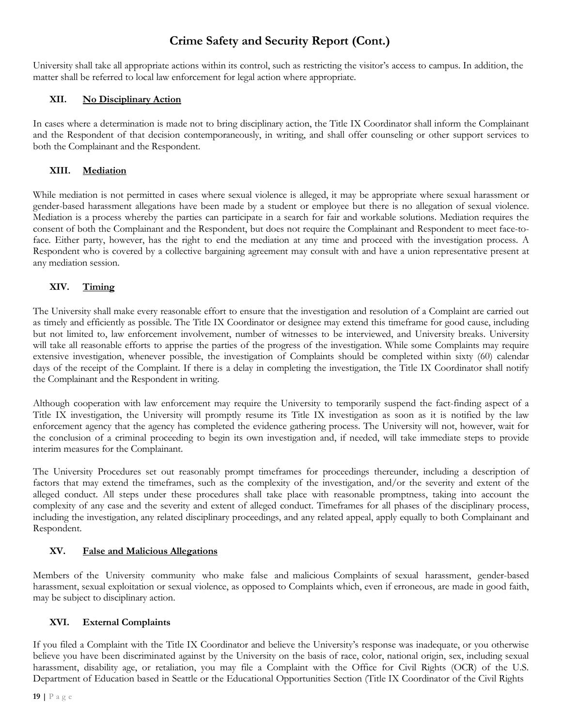University shall take all appropriate actions within its control, such as restricting the visitor's access to campus. In addition, the matter shall be referred to local law enforcement for legal action where appropriate.

## **XII. No Disciplinary Action**

In cases where a determination is made not to bring disciplinary action, the Title IX Coordinator shall inform the Complainant and the Respondent of that decision contemporaneously, in writing, and shall offer counseling or other support services to both the Complainant and the Respondent.

## **XIII. Mediation**

While mediation is not permitted in cases where sexual violence is alleged, it may be appropriate where sexual harassment or gender-based harassment allegations have been made by a student or employee but there is no allegation of sexual violence. Mediation is a process whereby the parties can participate in a search for fair and workable solutions. Mediation requires the consent of both the Complainant and the Respondent, but does not require the Complainant and Respondent to meet face-toface. Either party, however, has the right to end the mediation at any time and proceed with the investigation process. A Respondent who is covered by a collective bargaining agreement may consult with and have a union representative present at any mediation session.

## **XIV. Timing**

The University shall make every reasonable effort to ensure that the investigation and resolution of a Complaint are carried out as timely and efficiently as possible. The Title IX Coordinator or designee may extend this timeframe for good cause, including but not limited to, law enforcement involvement, number of witnesses to be interviewed, and University breaks. University will take all reasonable efforts to apprise the parties of the progress of the investigation. While some Complaints may require extensive investigation, whenever possible, the investigation of Complaints should be completed within sixty (60) calendar days of the receipt of the Complaint. If there is a delay in completing the investigation, the Title IX Coordinator shall notify the Complainant and the Respondent in writing.

Although cooperation with law enforcement may require the University to temporarily suspend the fact-finding aspect of a Title IX investigation, the University will promptly resume its Title IX investigation as soon as it is notified by the law enforcement agency that the agency has completed the evidence gathering process. The University will not, however, wait for the conclusion of a criminal proceeding to begin its own investigation and, if needed, will take immediate steps to provide interim measures for the Complainant.

The University Procedures set out reasonably prompt timeframes for proceedings thereunder, including a description of factors that may extend the timeframes, such as the complexity of the investigation, and/or the severity and extent of the alleged conduct. All steps under these procedures shall take place with reasonable promptness, taking into account the complexity of any case and the severity and extent of alleged conduct. Timeframes for all phases of the disciplinary process, including the investigation, any related disciplinary proceedings, and any related appeal, apply equally to both Complainant and Respondent.

## **XV. False and Malicious Allegations**

Members of the University community who make false and malicious Complaints of sexual harassment, gender-based harassment, sexual exploitation or sexual violence, as opposed to Complaints which, even if erroneous, are made in good faith, may be subject to disciplinary action.

## **XVI. External Complaints**

If you filed a Complaint with the Title IX Coordinator and believe the University's response was inadequate, or you otherwise believe you have been discriminated against by the University on the basis of race, color, national origin, sex, including sexual harassment, disability age, or retaliation, you may file a Complaint with the Office for Civil Rights (OCR) of the U.S. Department of Education based in Seattle or the Educational Opportunities Section (Title IX Coordinator of the Civil Rights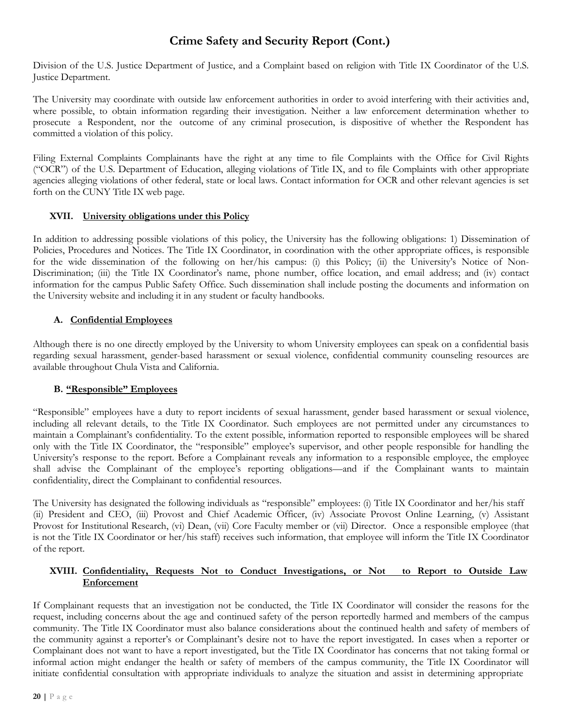Division of the U.S. Justice Department of Justice, and a Complaint based on religion with Title IX Coordinator of the U.S. Justice Department.

The University may coordinate with outside law enforcement authorities in order to avoid interfering with their activities and, where possible, to obtain information regarding their investigation. Neither a law enforcement determination whether to prosecute a Respondent, nor the outcome of any criminal prosecution, is dispositive of whether the Respondent has committed a violation of this policy.

Filing External Complaints Complainants have the right at any time to file Complaints with the Office for Civil Rights ("OCR") of the U.S. Department of Education, alleging violations of Title IX, and to file Complaints with other appropriate agencies alleging violations of other federal, state or local laws. Contact information for OCR and other relevant agencies is set forth on the CUNY Title IX web page.

### **XVII. University obligations under this Policy**

In addition to addressing possible violations of this policy, the University has the following obligations: 1) Dissemination of Policies, Procedures and Notices. The Title IX Coordinator, in coordination with the other appropriate offices, is responsible for the wide dissemination of the following on her/his campus: (i) this Policy; (ii) the University's Notice of Non-Discrimination; (iii) the Title IX Coordinator's name, phone number, office location, and email address; and (iv) contact information for the campus Public Safety Office. Such dissemination shall include posting the documents and information on the University website and including it in any student or faculty handbooks.

## **A. Confidential Employees**

Although there is no one directly employed by the University to whom University employees can speak on a confidential basis regarding sexual harassment, gender-based harassment or sexual violence, confidential community counseling resources are available throughout Chula Vista and California.

## **B. "Responsible" Employees**

"Responsible" employees have a duty to report incidents of sexual harassment, gender based harassment or sexual violence, including all relevant details, to the Title IX Coordinator. Such employees are not permitted under any circumstances to maintain a Complainant's confidentiality. To the extent possible, information reported to responsible employees will be shared only with the Title IX Coordinator, the "responsible" employee's supervisor, and other people responsible for handling the University's response to the report. Before a Complainant reveals any information to a responsible employee, the employee shall advise the Complainant of the employee's reporting obligations—and if the Complainant wants to maintain confidentiality, direct the Complainant to confidential resources.

The University has designated the following individuals as "responsible" employees: (i) Title IX Coordinator and her/his staff (ii) President and CEO, (iii) Provost and Chief Academic Officer, (iv) Associate Provost Online Learning, (v) Assistant Provost for Institutional Research, (vi) Dean, (vii) Core Faculty member or (vii) Director. Once a responsible employee (that is not the Title IX Coordinator or her/his staff) receives such information, that employee will inform the Title IX Coordinator of the report.

### **XVIII. Confidentiality, Requests Not to Conduct Investigations, or Not to Report to Outside Law Enforcement**

If Complainant requests that an investigation not be conducted, the Title IX Coordinator will consider the reasons for the request, including concerns about the age and continued safety of the person reportedly harmed and members of the campus community. The Title IX Coordinator must also balance considerations about the continued health and safety of members of the community against a reporter's or Complainant's desire not to have the report investigated. In cases when a reporter or Complainant does not want to have a report investigated, but the Title IX Coordinator has concerns that not taking formal or informal action might endanger the health or safety of members of the campus community, the Title IX Coordinator will initiate confidential consultation with appropriate individuals to analyze the situation and assist in determining appropriate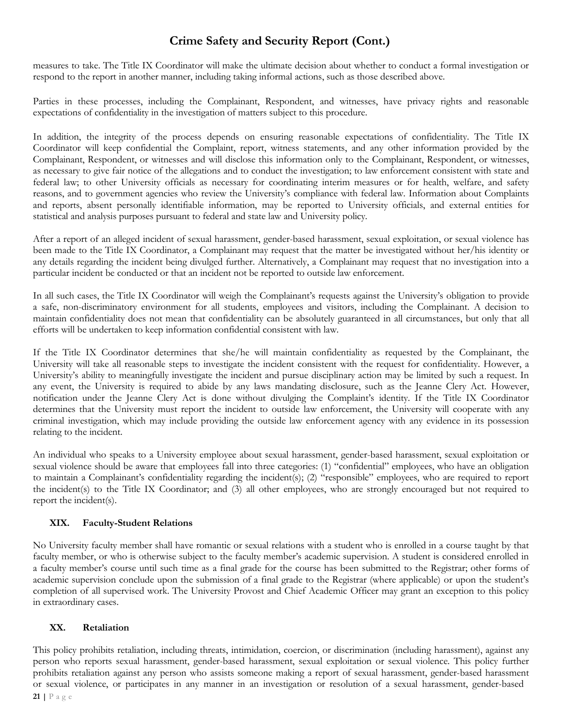measures to take. The Title IX Coordinator will make the ultimate decision about whether to conduct a formal investigation or respond to the report in another manner, including taking informal actions, such as those described above.

Parties in these processes, including the Complainant, Respondent, and witnesses, have privacy rights and reasonable expectations of confidentiality in the investigation of matters subject to this procedure.

In addition, the integrity of the process depends on ensuring reasonable expectations of confidentiality. The Title IX Coordinator will keep confidential the Complaint, report, witness statements, and any other information provided by the Complainant, Respondent, or witnesses and will disclose this information only to the Complainant, Respondent, or witnesses, as necessary to give fair notice of the allegations and to conduct the investigation; to law enforcement consistent with state and federal law; to other University officials as necessary for coordinating interim measures or for health, welfare, and safety reasons, and to government agencies who review the University's compliance with federal law. Information about Complaints and reports, absent personally identifiable information, may be reported to University officials, and external entities for statistical and analysis purposes pursuant to federal and state law and University policy.

After a report of an alleged incident of sexual harassment, gender-based harassment, sexual exploitation, or sexual violence has been made to the Title IX Coordinator, a Complainant may request that the matter be investigated without her/his identity or any details regarding the incident being divulged further. Alternatively, a Complainant may request that no investigation into a particular incident be conducted or that an incident not be reported to outside law enforcement.

In all such cases, the Title IX Coordinator will weigh the Complainant's requests against the University's obligation to provide a safe, non-discriminatory environment for all students, employees and visitors, including the Complainant. A decision to maintain confidentiality does not mean that confidentiality can be absolutely guaranteed in all circumstances, but only that all efforts will be undertaken to keep information confidential consistent with law.

If the Title IX Coordinator determines that she/he will maintain confidentiality as requested by the Complainant, the University will take all reasonable steps to investigate the incident consistent with the request for confidentiality. However, a University's ability to meaningfully investigate the incident and pursue disciplinary action may be limited by such a request. In any event, the University is required to abide by any laws mandating disclosure, such as the Jeanne Clery Act. However, notification under the Jeanne Clery Act is done without divulging the Complaint's identity. If the Title IX Coordinator determines that the University must report the incident to outside law enforcement, the University will cooperate with any criminal investigation, which may include providing the outside law enforcement agency with any evidence in its possession relating to the incident.

An individual who speaks to a University employee about sexual harassment, gender-based harassment, sexual exploitation or sexual violence should be aware that employees fall into three categories: (1) "confidential" employees, who have an obligation to maintain a Complainant's confidentiality regarding the incident(s); (2) "responsible" employees, who are required to report the incident(s) to the Title IX Coordinator; and (3) all other employees, who are strongly encouraged but not required to report the incident(s).

## **XIX. Faculty-Student Relations**

No University faculty member shall have romantic or sexual relations with a student who is enrolled in a course taught by that faculty member, or who is otherwise subject to the faculty member's academic supervision. A student is considered enrolled in a faculty member's course until such time as a final grade for the course has been submitted to the Registrar; other forms of academic supervision conclude upon the submission of a final grade to the Registrar (where applicable) or upon the student's completion of all supervised work. The University Provost and Chief Academic Officer may grant an exception to this policy in extraordinary cases.

#### **XX. Retaliation**

**21 |** P a g e This policy prohibits retaliation, including threats, intimidation, coercion, or discrimination (including harassment), against any person who reports sexual harassment, gender-based harassment, sexual exploitation or sexual violence. This policy further prohibits retaliation against any person who assists someone making a report of sexual harassment, gender-based harassment or sexual violence, or participates in any manner in an investigation or resolution of a sexual harassment, gender-based